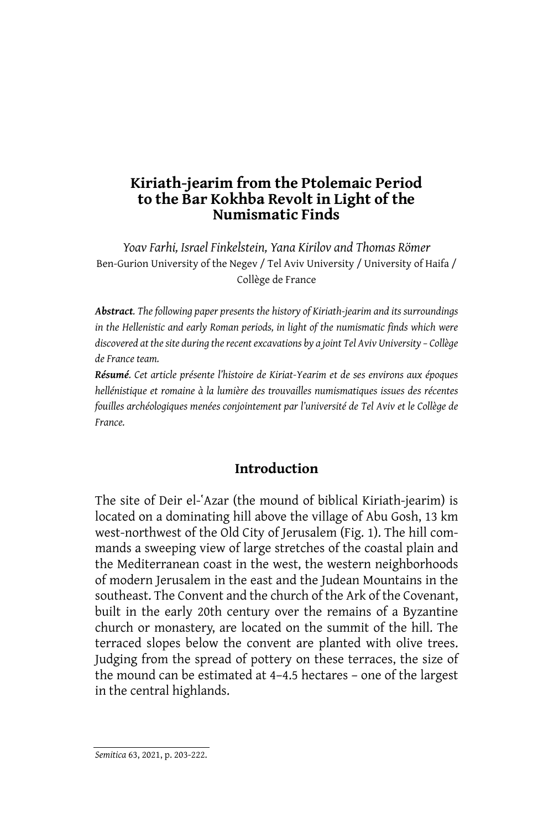*Yoav Farhi, Israel Finkelstein, Yana Kirilov and Thomas Römer*  Ben-Gurion University of the Negev / Tel Aviv University / University of Haifa / Collège de France

*Abstract. The following paper presents the history of Kiriath-jearim and its surroundings in the Hellenistic and early Roman periods, in light of the numismatic finds which were discovered at the site during the recent excavations by a joint Tel Aviv University – Collège de France team.* 

*Résumé. Cet article présente l'histoire de Kiriat-Yearim et de ses environs aux époques hellénistique et romaine à la lumière des trouvailles numismatiques issues des récentes fouilles archéologiques menées conjointement par l'université de Tel Aviv et le Collège de France.* 

## **Introduction**

The site of Deir el-`Azar (the mound of biblical Kiriath-jearim) is located on a dominating hill above the village of Abu Gosh, 13 km west-northwest of the Old City of Jerusalem (Fig. 1). The hill commands a sweeping view of large stretches of the coastal plain and the Mediterranean coast in the west, the western neighborhoods of modern Jerusalem in the east and the Judean Mountains in the southeast. The Convent and the church of the Ark of the Covenant, built in the early 20th century over the remains of a Byzantine church or monastery, are located on the summit of the hill. The terraced slopes below the convent are planted with olive trees. Judging from the spread of pottery on these terraces, the size of the mound can be estimated at 4–4.5 hectares – one of the largest in the central highlands.

*Semitica* 63, 2021, p. 203-222.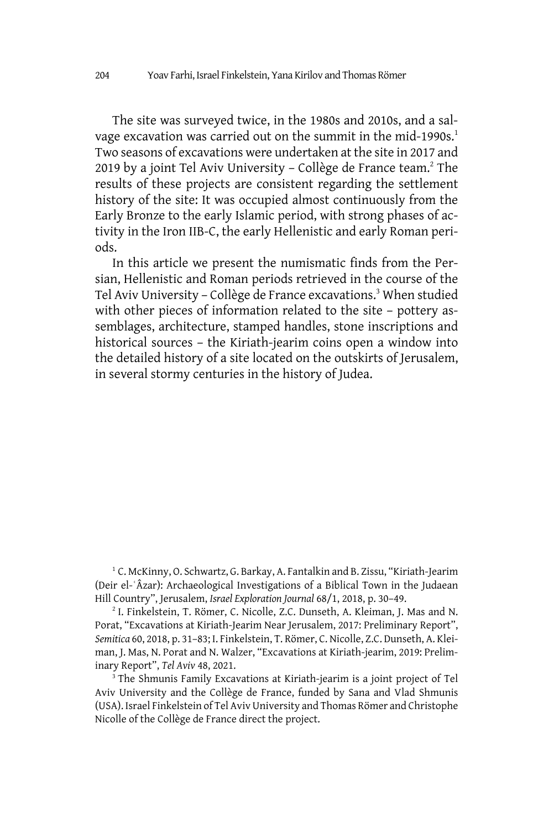The site was surveyed twice, in the 1980s and 2010s, and a salvage excavation was carried out on the summit in the mid-1990s.<sup>1</sup> Two seasons of excavations were undertaken at the site in 2017 and 2019 by a joint Tel Aviv University - Collège de France team.<sup>2</sup> The results of these projects are consistent regarding the settlement history of the site: It was occupied almost continuously from the Early Bronze to the early Islamic period, with strong phases of activity in the Iron IIB-C, the early Hellenistic and early Roman periods.

In this article we present the numismatic finds from the Persian, Hellenistic and Roman periods retrieved in the course of the Tel Aviv University - Collège de France excavations.<sup>3</sup> When studied with other pieces of information related to the site – pottery assemblages, architecture, stamped handles, stone inscriptions and historical sources – the Kiriath-jearim coins open a window into the detailed history of a site located on the outskirts of Jerusalem, in several stormy centuries in the history of Judea.

<sup>1</sup> C. McKinny, O. Schwartz, G. Barkay, A. Fantalkin and B. Zissu, "Kiriath-Jearim (Deir el-ʿÂzar): Archaeological Investigations of a Biblical Town in the Judaean Hill Country", Jerusalem, *Israel Exploration Journal* 68/1, 2018, p. 30–49.

2 I. Finkelstein, T. Römer, C. Nicolle, Z.C. Dunseth, A. Kleiman, J. Mas and N. Porat, "Excavations at Kiriath-Jearim Near Jerusalem, 2017: Preliminary Report", *Semitica* 60, 2018, p. 31–83; I. Finkelstein, T. Römer, C. Nicolle, Z.C. Dunseth, A. Kleiman, J. Mas, N. Porat and N. Walzer, "Excavations at Kiriath-jearim, 2019: Preliminary Report", *Tel Aviv* 48, 2021.

<sup>3</sup> The Shmunis Family Excavations at Kiriath-jearim is a joint project of Tel Aviv University and the Collège de France, funded by Sana and Vlad Shmunis (USA). Israel Finkelstein of Tel Aviv University and Thomas Römer and Christophe Nicolle of the Collège de France direct the project.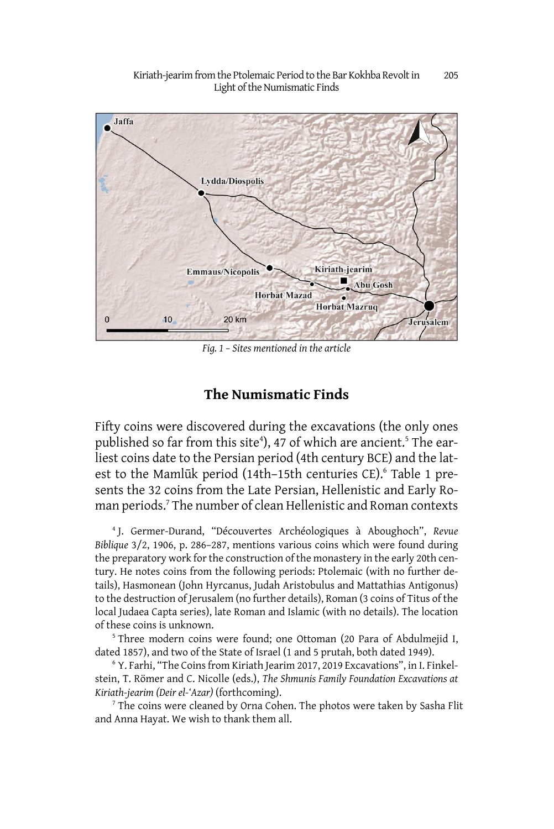

*Fig. 1 – Sites mentioned in the article* 

#### **The Numismatic Finds**

Fifty coins were discovered during the excavations (the only ones published so far from this site<sup>4</sup>), 47 of which are ancient.<sup>5</sup> The earliest coins date to the Persian period (4th century BCE) and the latest to the Mamlūk period (14th-15th centuries CE).<sup>6</sup> Table 1 presents the 32 coins from the Late Persian, Hellenistic and Early Roman periods.<sup>7</sup> The number of clean Hellenistic and Roman contexts

4 J. Germer-Durand, "Découvertes Archéologiques à Aboughoch", *Revue Biblique* 3/2, 1906, p. 286–287, mentions various coins which were found during the preparatory work for the construction of the monastery in the early 20th century. He notes coins from the following periods: Ptolemaic (with no further details), Hasmonean (John Hyrcanus, Judah Aristobulus and Mattathias Antigonus) to the destruction of Jerusalem (no further details), Roman (3 coins of Titus of the local Judaea Capta series), late Roman and Islamic (with no details). The location of these coins is unknown.

<sup>5</sup> Three modern coins were found; one Ottoman (20 Para of Abdulmejid I, dated 1857), and two of the State of Israel (1 and 5 prutah, both dated 1949).

6 Y. Farhi, "The Coins from Kiriath Jearim 2017, 2019 Excavations", in I. Finkelstein, T. Römer and C. Nicolle (eds.), *The Shmunis Family Foundation Excavations at Kiriath-jearim (Deir el-'Azar)* (forthcoming).

 $7$  The coins were cleaned by Orna Cohen. The photos were taken by Sasha Flit and Anna Hayat. We wish to thank them all.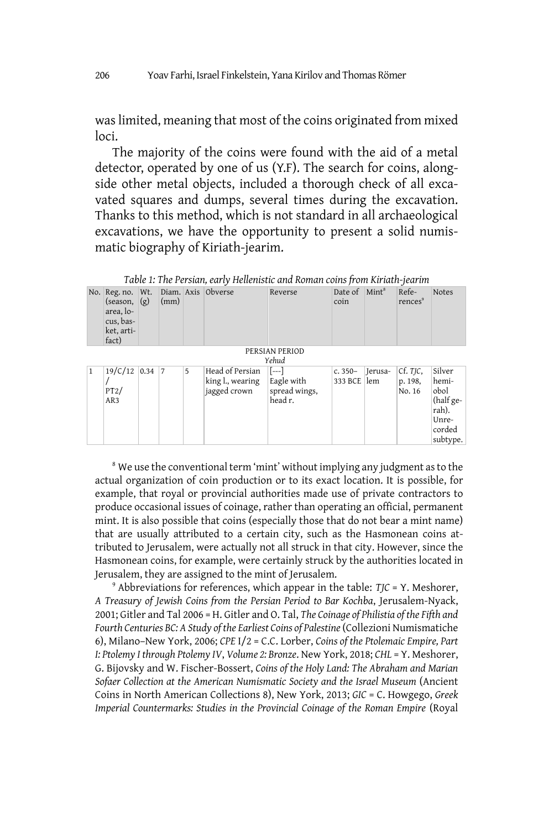was limited, meaning that most of the coins originated from mixed loci.

The majority of the coins were found with the aid of a metal detector, operated by one of us (Y.F). The search for coins, alongside other metal objects, included a thorough check of all excavated squares and dumps, several times during the excavation. Thanks to this method, which is not standard in all archaeological excavations, we have the opportunity to present a solid numismatic biography of Kiriath-jearim.

No. Reg. no. Wt. Diam. Axis Obverse Reverse Date of (season, (g) area, locus, basket, artifact)  $\vert$ (mm) coin Date of  $\int$ Mint<sup>8</sup> References<sup>9</sup> Notes PERSIAN PERIOD *Yehud*  $1 \mid 19/C/12 \mid 0.34 \mid 7$ / PT2/ AR3 5 Head of Persian king l., wearing jagged crown [---] Eagle with spread wings, head r. c. 350– 333 BCE lem Jerusa-Cf. *TJC*, p. 198, No. 16 Silver hemiobol (half gerah). Unrecorded subtype.

*Table 1: The Persian, early Hellenistic and Roman coins from Kiriath-jearim* 

<sup>8</sup> We use the conventional term 'mint' without implying any judgment as to the actual organization of coin production or to its exact location. It is possible, for example, that royal or provincial authorities made use of private contractors to produce occasional issues of coinage, rather than operating an official, permanent mint. It is also possible that coins (especially those that do not bear a mint name) that are usually attributed to a certain city, such as the Hasmonean coins attributed to Jerusalem, were actually not all struck in that city. However, since the Hasmonean coins, for example, were certainly struck by the authorities located in Jerusalem, they are assigned to the mint of Jerusalem.

9 Abbreviations for references, which appear in the table: *TJC* = Y. Meshorer, *A Treasury of Jewish Coins from the Persian Period to Bar Kochba*, Jerusalem-Nyack, 2001; Gitler and Tal 2006 = H. Gitler and O. Tal, *The Coinage of Philistia of the Fifth and Fourth Centuries BC: A Study of the Earliest Coins of Palestine* (Collezioni Numismatiche 6), Milano–New York, 2006; *CPE* I/2 = C.C. Lorber, *Coins of the Ptolemaic Empire, Part I: Ptolemy I through Ptolemy IV*, *Volume 2: Bronze*. New York, 2018; *CHL* = Y. Meshorer, G. Bijovsky and W. Fischer-Bossert, *Coins of the Holy Land: The Abraham and Marian Sofaer Collection at the American Numismatic Society and the Israel Museum* (Ancient Coins in North American Collections 8), New York, 2013; *GIC* = C. Howgego, *Greek Imperial Countermarks: Studies in the Provincial Coinage of the Roman Empire* (Royal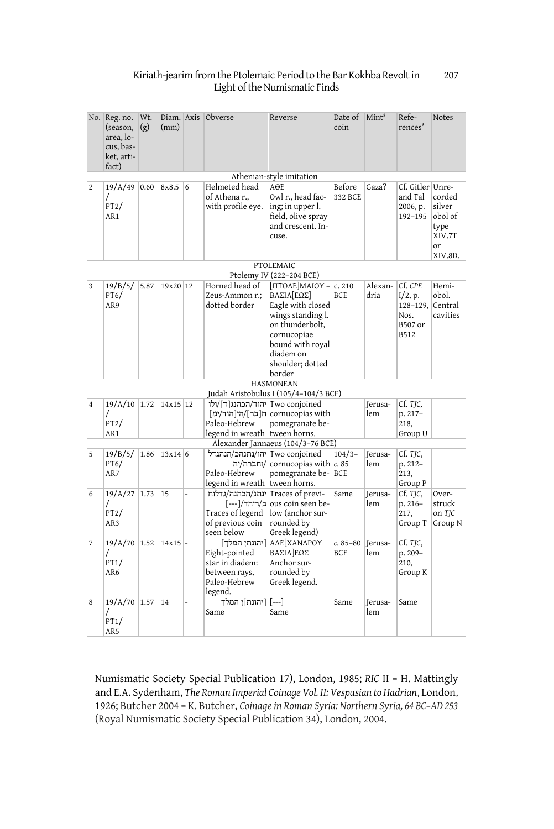|                | No. Reg. no.<br>(season,<br>area, lo-<br>cus, bas-<br>ket, arti-<br>fact) | Wt.<br>(g) | (mm)      |                | Diam. Axis Obverse                                                                       | Reverse                                                                                                                                                                             | Date of<br>coin           | Mint <sup>8</sup>       | Refe-<br>rences <sup>9</sup>                       | Notes                                                          |  |  |  |
|----------------|---------------------------------------------------------------------------|------------|-----------|----------------|------------------------------------------------------------------------------------------|-------------------------------------------------------------------------------------------------------------------------------------------------------------------------------------|---------------------------|-------------------------|----------------------------------------------------|----------------------------------------------------------------|--|--|--|
|                |                                                                           |            |           |                |                                                                                          | Athenian-style imitation                                                                                                                                                            |                           |                         |                                                    |                                                                |  |  |  |
| $\overline{2}$ | 19/A/49<br>7<br>PT2/<br>AR <sub>1</sub>                                   | 0.60       | 8x8.5     | 6              | Helmeted head<br>of Athena r<br>with profile eye.                                        | $A \Theta F$<br>Owl r., head fac-<br>ing; in upper l.<br>field, olive spray<br>and crescent. In-<br>cuse.                                                                           | Before<br>332 BCE         | Gaza?                   | Cf. Gitler Unre-<br>and Tal<br>2006, p.<br>192-195 | corded<br>silver<br>obol of<br>type<br>XIV.7T<br>or<br>XIV.8D. |  |  |  |
|                | PTOLEMAIC                                                                 |            |           |                |                                                                                          |                                                                                                                                                                                     |                           |                         |                                                    |                                                                |  |  |  |
|                |                                                                           |            |           |                |                                                                                          | Ptolemy IV (222-204 BCE)                                                                                                                                                            |                           |                         |                                                    |                                                                |  |  |  |
| $\overline{3}$ | 19/B/5/<br>PT6/<br>AR9                                                    | 5.87       | 19x20 12  |                | Horned head of<br>Zeus-Ammon r.:<br>dotted border                                        | $[TITOR]$ MAIOY – $c. 210$<br>ΒΑΣΙΛΓΕΩΣΙ<br>Eagle with closed<br>wings standing l.<br>on thunderbolt,<br>cornucopiae<br>bound with royal<br>diadem on<br>shoulder; dotted<br>border | BCE.                      | Alexan- Cf. CPE<br>dria | I/2, p.<br>128-129,<br>Nos.<br>B507 or<br>B512     | Hemi-<br>obol.<br>Central<br>cavities                          |  |  |  |
|                |                                                                           |            |           |                |                                                                                          | <b>HASMONEAN</b>                                                                                                                                                                    |                           |                         |                                                    |                                                                |  |  |  |
|                |                                                                           |            |           |                |                                                                                          | Judah Aristobulus I (105/4-104/3 BCE)                                                                                                                                               |                           |                         |                                                    |                                                                |  |  |  |
| $\overline{4}$ | 19/A/10 1.72<br>T<br>PT2/<br>AR1                                          |            | 14x15 12  |                | Two conjoined יהוד/הכהנג[ד]/ולו<br>Paleo-Hebrew<br>legend in wreath tween horns.         | cornucopias with  ח[בר]/הין הוד/ימ]<br>pomegranate be-<br>Alexander Jannaeus (104/3-76 BCE)                                                                                         |                           | Ierusa-<br>lem          | Cf. TJC,<br>p. 217-<br>218,<br>Group U             |                                                                |  |  |  |
| 5              | 19/B/5/                                                                   | 1.86       | 13x14 6   |                | Two conjoined  יהו/נתנהכ/הנהגדל                                                          |                                                                                                                                                                                     | $104/3-$                  | Jerusa-                 | Cf. TJC,                                           |                                                                |  |  |  |
|                | PT6/<br>AR7                                                               |            |           |                | Paleo-Hebrew<br>legend in wreath tween horns.                                            | וחברה/יה/ cornucopias with   $c$ . 85<br>pomegranate be- BCE                                                                                                                        |                           | lem                     | p. 212-<br>213,<br>Group P                         |                                                                |  |  |  |
| 6              | 19/A/27<br>7<br>PT2/<br>AR3                                               | 1.73       | 15        | $\overline{a}$ | -Traces of previן ינתנ/הכהנה/גדלוח<br>Traces of legend<br>of previous coin<br>seen below | -ous coin seen be- ב/ריהד/[---]<br>low (anchor sur-<br>rounded by<br>Greek legend)                                                                                                  | Same                      | Ierusa-<br>lem          | Cf. TJC,<br>p. 216-<br>217,<br>Group T             | Over-<br>struck<br>on TIC<br>Group N                           |  |  |  |
| 7              | 19/A/70 1.52<br>7<br>PT1/<br>AR6                                          |            | $14x15$ - |                | Eight-pointed<br>star in diadem:<br>between rays,<br>Paleo-Hebrew<br>legend.             | [יהונתן המלך] AΛΕ[ΧΑΝΔΡΟΥ<br>ΒΑΣΙΛΙΕΩΣ<br>Anchor sur-<br>rounded by<br>Greek legend.                                                                                                | $c.85 - 80$<br><b>BCE</b> | Jerusa-<br>lem          | cf. TJC,<br>p. 209-<br>210,<br>Group K             |                                                                |  |  |  |
| 8              | 19/A/70 1.57<br>7<br>PT1/<br>AR5                                          |            | 14        |                | [---] [יהונת]ן המלך<br>Same                                                              | Same                                                                                                                                                                                | Same                      | Ierusa-<br>lem          | Same                                               |                                                                |  |  |  |

Numismatic Society Special Publication 17), London, 1985; *RIC* II = H. Mattingly and E.A. Sydenham, *The Roman Imperial Coinage Vol. II: Vespasian to Hadrian*, London, 1926; Butcher 2004 = K. Butcher, *Coinage in Roman Syria: Northern Syria, 64 BC–AD 253*  (Royal Numismatic Society Special Publication 34), London, 2004.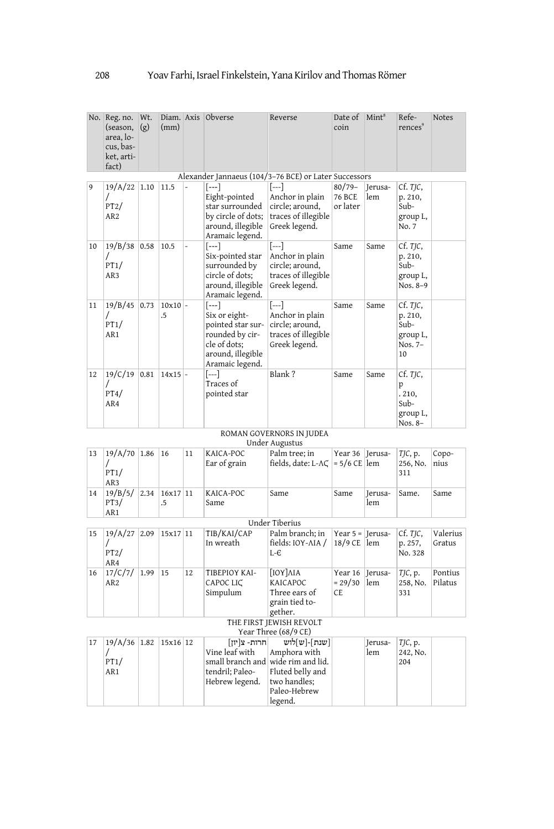|    | No. Reg. no.<br>(season,<br>area, lo-<br>cus, bas-<br>ket, arti-<br>fact) | Wt.<br>(g) | (mm)            |    | Diam. Axis Obverse                                                                                                     | Reverse                                                                                                                          | Date of<br>coin                        | Mint <sup>8</sup> | Refe-<br>rences <sup>9</sup>                             | Notes              |  |  |
|----|---------------------------------------------------------------------------|------------|-----------------|----|------------------------------------------------------------------------------------------------------------------------|----------------------------------------------------------------------------------------------------------------------------------|----------------------------------------|-------------------|----------------------------------------------------------|--------------------|--|--|
|    |                                                                           |            |                 |    | Alexander Jannaeus (104/3-76 BCE) or Later Successors                                                                  |                                                                                                                                  |                                        |                   |                                                          |                    |  |  |
| ۱9 | 19/A/22<br>7<br>PT2/<br>AR <sub>2</sub>                                   | 1.10       | 11.5            |    | [---]<br>Eight-pointed<br>star surrounded<br>by circle of dots;<br>around, illegible<br>Aramaic legend.                | $[- -]$<br>Anchor in plain<br>circle; around,<br>traces of illegible<br>Greek legend.                                            | $80/79 -$<br><b>76 BCE</b><br>or later | Jerusa-<br>lem    | Cf. TJC,<br>p. 210,<br>Sub-<br>group L,<br>No. 7         |                    |  |  |
| 10 | 19/B/38<br>7<br>PT1/<br>AR3                                               | 0.58       | 10.5            |    | [---]<br>Six-pointed star<br>surrounded by<br>circle of dots;<br>around, illegible<br>Aramaic legend.                  | [---]<br>Anchor in plain<br>circle; around,<br>traces of illegible<br>Greek legend.                                              | Same                                   | Same              | Cf. TJC,<br>p. 210,<br>Sub-<br>group L,<br>Nos. 8-9      |                    |  |  |
| 11 | 19/B/45<br>PT1/<br>AR1                                                    | 0.73       | $10x10$ -<br>.5 |    | [---]<br>Six or eight-<br>pointed star sur-<br>rounded by cir-<br>cle of dots;<br>around, illegible<br>Aramaic legend. | [---]<br>Anchor in plain<br>circle; around,<br>traces of illegible<br>Greek legend.                                              | Same                                   | Same              | Cf. TJC,<br>p. 210,<br>Sub-<br>group L,<br>Nos. 7-<br>10 |                    |  |  |
| 12 | 19/C/19<br>7<br>PT4/<br>AR4                                               | 0.81       | $14x15$ -       |    | [---]<br>Traces of<br>pointed star                                                                                     | Blank?                                                                                                                           | Same                                   | Same              | Cf. TJC,<br>p<br>.210,<br>Sub-<br>group L,<br>Nos. 8-    |                    |  |  |
|    |                                                                           |            |                 |    |                                                                                                                        | ROMAN GOVERNORS IN JUDEA                                                                                                         |                                        |                   |                                                          |                    |  |  |
|    |                                                                           |            |                 |    |                                                                                                                        | Under Augustus                                                                                                                   |                                        |                   |                                                          |                    |  |  |
| 13 | $19/A/70$ 1.86<br>$\prime$<br>PT1/<br>AR3                                 |            | 16              | 11 | KAICA-POC<br>Ear of grain                                                                                              | Palm tree; in<br>fields, date: L-AC                                                                                              | Year 36<br>$= 5/6$ CE lem              | Jerusa-           | TJC, p.<br>256, No.<br>311                               | Copo-<br>nius      |  |  |
| 14 | 19/B/5/<br>PT3/<br>AR1                                                    | 2.34       | 16x17 11<br>.5  |    | KAICA-POC<br>Same                                                                                                      | Same                                                                                                                             | Same                                   | Jerusa-<br>lem    | Same.                                                    | Same               |  |  |
|    |                                                                           |            |                 |    |                                                                                                                        | Under Tiberius                                                                                                                   |                                        |                   |                                                          |                    |  |  |
| 15 | 19/A/27<br>$\prime$<br>PT2/<br>AR4                                        | 2.09       | 15x17 11        |    | TIB/KAI/CAP<br>In wreath                                                                                               | Palm branch; in<br>fields: IOY-AIA /<br>$L - E$                                                                                  | Year $5 =$ Jerusa-<br>18/9 CE          | $\mathsf{I}$ lem  | Cf. TJC,<br>p. 257,<br>No. 328                           | Valerius<br>Gratus |  |  |
| 16 | 17/C/7/<br>AR <sub>2</sub>                                                | 1.99       | 15              | 12 | ΤΙΒΕΡΙΟΥ ΚΑΙ-<br>CAPOC LIC<br>Simpulum                                                                                 | [ΙΟΥ]ΛΙΑ<br>KAICAPOC<br>Three ears of<br>grain tied to-<br>gether.                                                               | Year 16<br>$= 29/30$<br>CE.            | Jerusa-<br>lem    | TJC, p.<br>258, No.<br>331                               | Pontius<br>Pilatus |  |  |
|    | THE FIRST JEWISH REVOLT<br>Year Three (68/9 CE)                           |            |                 |    |                                                                                                                        |                                                                                                                                  |                                        |                   |                                                          |                    |  |  |
| 17 | $19/A/36$ 1.82<br>$\prime$<br>PT1/<br>AR1                                 |            | 15x16 12        |    | חרות- צ[יון]<br>Vine leaf with<br>tendril; Paleo-<br>Hebrew legend.                                                    | שנת]-[ש]לוש<br>Amphora with<br>small branch and wide rim and lid.<br>Fluted belly and<br>two handles;<br>Paleo-Hebrew<br>legend. |                                        | Jerusa-<br>lem    | TJC, p.<br>242, No.<br>204                               |                    |  |  |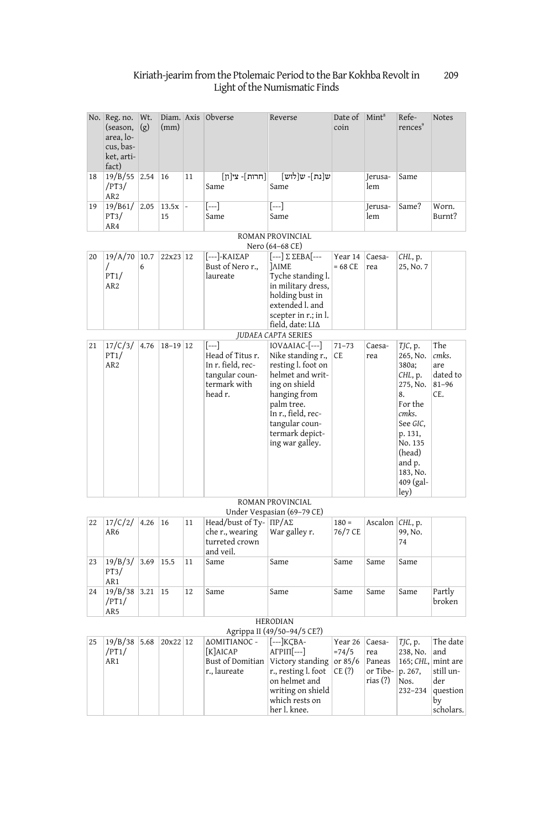|                                                | No. Reg. no.<br>(season,<br>area, lo-<br>cus, bas-<br>ket, arti-<br>fact) | Wt.<br>(g) | (mm)        |    | Diam. Axis Obverse                                                                         | Reverse                                                                                                                                                                                                    | Date of<br>coin                           | Mint <sup>8</sup>                               | Refe-<br>rences <sup>9</sup>                                                                                                                                         | <b>Notes</b>                                                                   |  |  |  |
|------------------------------------------------|---------------------------------------------------------------------------|------------|-------------|----|--------------------------------------------------------------------------------------------|------------------------------------------------------------------------------------------------------------------------------------------------------------------------------------------------------------|-------------------------------------------|-------------------------------------------------|----------------------------------------------------------------------------------------------------------------------------------------------------------------------|--------------------------------------------------------------------------------|--|--|--|
| 18                                             | 19/B/55<br>/PT3/<br>AR <sub>2</sub>                                       | 2.54       | 16          | 11 | [חרות]- צי[ון]<br>Same                                                                     | ש[נת]- ש[לוש]<br>Same                                                                                                                                                                                      |                                           | Jerusa-<br>lem                                  | Same                                                                                                                                                                 |                                                                                |  |  |  |
| 19                                             | 19/861/<br>PT3/<br>AR4                                                    | 2.05       | 13.5x<br>15 |    | $[---]$<br>Same                                                                            | $[- -]$<br>Same                                                                                                                                                                                            |                                           | Ierusa-<br>lem                                  | Same?                                                                                                                                                                | Worn.<br>Burnt?                                                                |  |  |  |
|                                                | ROMAN PROVINCIAL<br>Nero (64–68 CE)                                       |            |             |    |                                                                                            |                                                                                                                                                                                                            |                                           |                                                 |                                                                                                                                                                      |                                                                                |  |  |  |
| 20                                             | 19/A/70<br>7<br>PT1/<br>AR <sub>2</sub>                                   | 10.7<br>6  | 22x23 12    |    | [---]-ΚΑΙΣΑΡ<br>Bust of Nero r.,<br>laureate                                               | [---] Σ ΣΕΒΑ[---<br><b>JAIME</b><br>Tyche standing l.<br>in military dress,<br>holding bust in<br>extended l. and<br>scepter in r.; in l.<br>field, date: LI∆                                              | Year 14<br>$= 68$ CE                      | Caesa-<br>rea                                   | CHL, p.<br>25, No. 7                                                                                                                                                 |                                                                                |  |  |  |
|                                                |                                                                           |            |             |    |                                                                                            | <b>JUDAEA CAPTA SERIES</b>                                                                                                                                                                                 |                                           |                                                 |                                                                                                                                                                      |                                                                                |  |  |  |
| 21                                             | 17/C/3/<br>PT1/<br>AR <sub>2</sub>                                        | 4.76       | $18-19$ 12  |    | $[]$<br>Head of Titus r.<br>In r. field, rec-<br>tangular coun-<br>termark with<br>head r. | IOVΔAIAC-[---]<br>Nike standing r.,<br>resting l. foot on<br>helmet and writ-<br>ing on shield<br>hanging from<br>palm tree.<br>In r., field, rec-<br>tangular coun-<br>termark depict-<br>ing war galley. | $71 - 73$<br>CE                           | Caesa-<br>rea                                   | TJC, p.<br>265, No.<br>380a;<br>CHL, p.<br>275, No.<br>8.<br>For the<br>cmks.<br>See GIC,<br>p. 131,<br>No. 135<br>(head)<br>and p.<br>183, No.<br>409 (gal-<br>ley) | The<br>cmks.<br>are<br>dated to<br>$81 - 96$<br>CE.                            |  |  |  |
|                                                |                                                                           |            |             |    |                                                                                            | ROMAN PROVINCIAL<br>Under Vespasian (69-79 CE)                                                                                                                                                             |                                           |                                                 |                                                                                                                                                                      |                                                                                |  |  |  |
| 22                                             | 17/C/2/<br>AR6                                                            | 4.26       | 16          | 11 | Head/bust of Ty- ΠΡ/ΑΣ<br>che r., wearing<br>turreted crown<br>and veil.                   | War galley r.                                                                                                                                                                                              | $180 =$<br>76/7 CE                        | Ascalon                                         | CHL, p.<br>99, No.<br>74                                                                                                                                             |                                                                                |  |  |  |
| 23                                             | 19/B/3/<br>PT3/<br>AR1                                                    | 3.69       | 15.5        | 11 | Same                                                                                       | Same                                                                                                                                                                                                       | Same                                      | Same                                            | Same                                                                                                                                                                 |                                                                                |  |  |  |
| 24                                             | 19/B/38<br>/PT1/<br>AR <sub>5</sub>                                       | 3.21       | 15          | 12 | Same                                                                                       | Same                                                                                                                                                                                                       | Same                                      | Same                                            | Same                                                                                                                                                                 | Partly<br>broken                                                               |  |  |  |
| <b>HERODIAN</b><br>Agrippa II (49/50-94/5 CE?) |                                                                           |            |             |    |                                                                                            |                                                                                                                                                                                                            |                                           |                                                 |                                                                                                                                                                      |                                                                                |  |  |  |
| 25                                             | 19/B/38<br>/PT1/<br>AR1                                                   | 5.68       | 20x22 12    |    | ΔΟΜΙΤΙΑΝΟΣ -<br>[K]AICAP<br>Bust of Domitian<br>r., laureate                               | [---]KCBA-<br>$ATPIII[-.]$<br>Victory standing<br>r., resting l. foot<br>on helmet and<br>writing on shield<br>which rests on<br>her l. knee.                                                              | Year 26<br>$=74/5$<br>or $85/6$<br>CE (?) | Caesa-<br>rea<br>Paneas<br>or Tibe-<br>rias (?) | TJC, p.<br>238, No.<br>165; CHL,<br>p. 267,<br>Nos.<br>232-234                                                                                                       | The date<br>and<br>mint are<br>still un-<br>der<br>question<br>by<br>scholars. |  |  |  |

209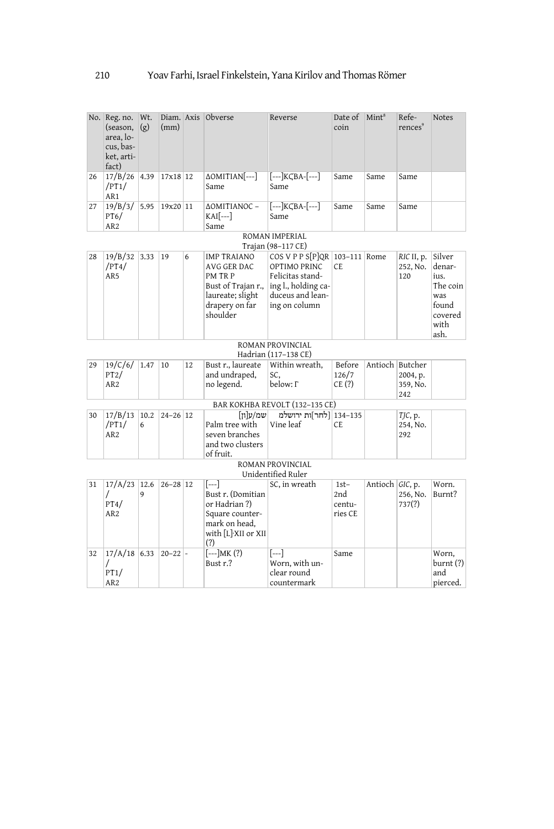|                                          | No. Reg. no. Wt.<br>(season,<br>area, lo-<br>cus, bas-<br>ket, arti-<br>fact) | (g)  | (mm)         |    | Diam. Axis Obverse                                                                                                   | Reverse                                                                                                                           | Date of<br>coin                    | Mint <sup>8</sup> | Refe-<br>rences <sup>9</sup>            | Notes                                                                           |  |  |
|------------------------------------------|-------------------------------------------------------------------------------|------|--------------|----|----------------------------------------------------------------------------------------------------------------------|-----------------------------------------------------------------------------------------------------------------------------------|------------------------------------|-------------------|-----------------------------------------|---------------------------------------------------------------------------------|--|--|
| 26                                       | 17/B/26<br>/PT1/<br>AR1                                                       | 4.39 | 17x18 12     |    | $\Delta$ OMITIAN $\left[- -\right]$<br>Same                                                                          | $[--]KCBA-[--]$<br>Same                                                                                                           | Same                               | Same              | Same                                    |                                                                                 |  |  |
| 27                                       | 19/B/3/<br>PT6/<br>AR <sub>2</sub>                                            | 5.95 | 19x20 11     |    | ΔΟΜΙΤΙΑΝΟΣ-<br>$KAI$ [---]<br>Same                                                                                   | $[--]KCBA-[--]$<br>Same                                                                                                           | Same                               | Same              | Same                                    |                                                                                 |  |  |
|                                          | ROMAN IMPERIAL<br>Trajan (98-117 CE)                                          |      |              |    |                                                                                                                      |                                                                                                                                   |                                    |                   |                                         |                                                                                 |  |  |
| 28                                       | 19/B/32<br>/PT4/<br>AR5                                                       | 3.33 | 19           | 6  | <b>IMP TRAIANO</b><br>AVG GER DAC<br>PM TR P<br>Bust of Trajan r.,<br>laureate; slight<br>drapery on far<br>shoulder | COS V P P S[P]QR   103-111   Rome<br>OPTIMO PRINC<br>Felicitas stand-<br>ing l., holding ca-<br>duceus and lean-<br>ing on column | CE                                 |                   | RIC II, p.<br>252, No.<br>120           | Silver<br>denar-<br>ius.<br>The coin<br>was<br>found<br>covered<br>with<br>ash. |  |  |
| ROMAN PROVINCIAL<br>Hadrian (117-138 CE) |                                                                               |      |              |    |                                                                                                                      |                                                                                                                                   |                                    |                   |                                         |                                                                                 |  |  |
| 29                                       | 19/C/6/<br>PT2/<br>AR <sub>2</sub>                                            | 1.47 | 10           | 12 | Bust r., laureate<br>and undraped,<br>no legend.                                                                     | Within wreath,<br>SC.<br>below: $\Gamma$                                                                                          | Before<br>126/7<br>CE(?)           |                   | Antioch Butcher<br>2004, p.<br>359, No. |                                                                                 |  |  |
|                                          |                                                                               |      |              |    |                                                                                                                      | BAR KOKHBA REVOLT (132-135 CE)                                                                                                    |                                    |                   | 242                                     |                                                                                 |  |  |
| 30                                       | $17/B/13$ 10.2<br>/PT1/<br>AR <sub>2</sub>                                    | 6    | $24 - 26$ 12 |    | $\lceil n \rceil$ שמ/ע<br>Palm tree with<br>seven branches<br>and two clusters<br>of fruit.                          | 134–134   לחר]ות ירושלמ<br>Vine leaf                                                                                              | CE.                                |                   | TJC, p.<br>254, No.<br>292              |                                                                                 |  |  |
|                                          |                                                                               |      |              |    |                                                                                                                      | ROMAN PROVINCIAL<br>Unidentified Ruler                                                                                            |                                    |                   |                                         |                                                                                 |  |  |
| 31                                       | $17/A/23$ 12.6<br>T<br>PT4/<br>AR <sub>2</sub>                                | 9    | $26 - 28$ 12 |    | $[]$<br>Bust r. (Domitian<br>or Hadrian ?)<br>Square counter-<br>mark on head,<br>with [L]·XII or XII<br>(?)         | SC, in wreath                                                                                                                     | $1st-$<br>2nd<br>centu-<br>ries CE | Antioch GIC, p.   | 256, No.<br>737(?)                      | Worn.<br>Burnt?                                                                 |  |  |
| 32                                       | $17/A/18$ 6.33<br>7<br>PT1/<br>AR <sub>2</sub>                                |      | $20 - 22$ -  |    | $[--]MK(?)$<br>Bust r.?                                                                                              | [---]<br>Worn, with un-<br>clear round<br>countermark                                                                             | Same                               |                   |                                         | Worn,<br>burnt (?)<br>and<br>pierced.                                           |  |  |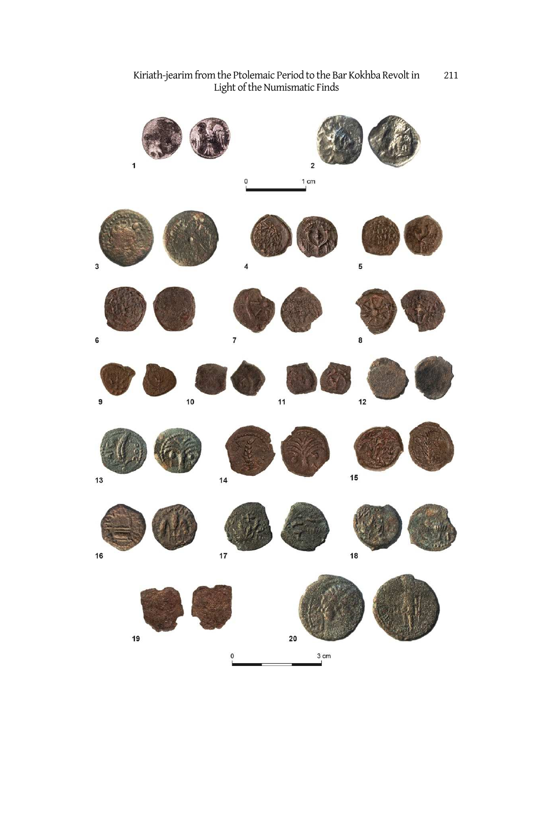Kiriath-jearim from the Ptolemaic Period to the Bar Kokhba Revolt in Light of the Numismatic Finds 211

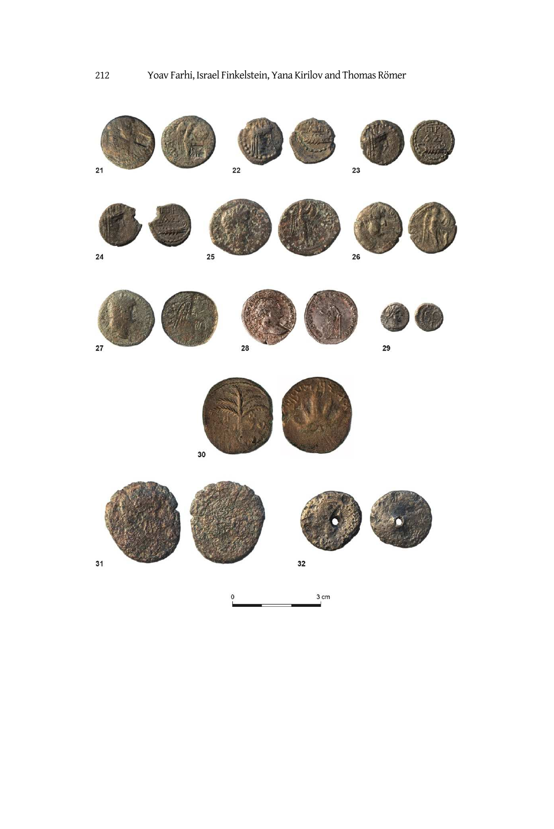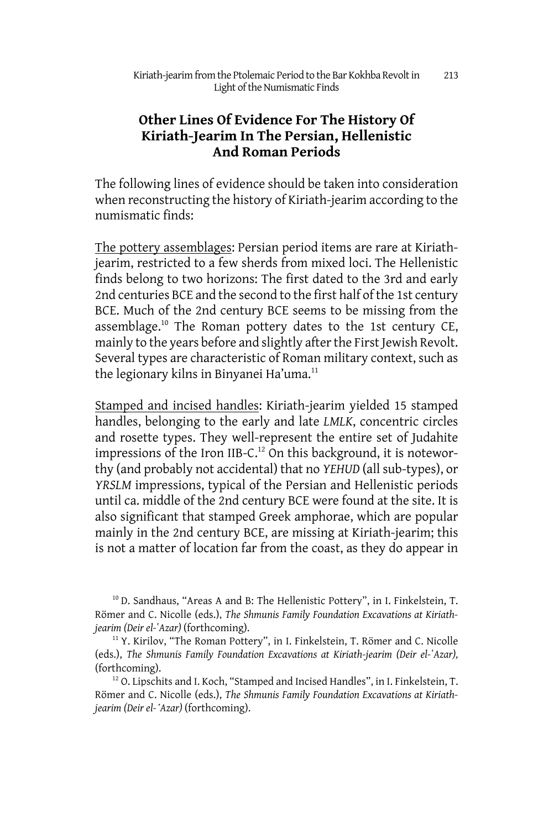# **Other Lines Of Evidence For The History Of Kiriath-Jearim In The Persian, Hellenistic And Roman Periods**

The following lines of evidence should be taken into consideration when reconstructing the history of Kiriath-jearim according to the numismatic finds:

The pottery assemblages: Persian period items are rare at Kiriathjearim, restricted to a few sherds from mixed loci. The Hellenistic finds belong to two horizons: The first dated to the 3rd and early 2nd centuries BCE and the second to the first half of the 1st century BCE. Much of the 2nd century BCE seems to be missing from the assemblage.<sup>10</sup> The Roman pottery dates to the 1st century CE, mainly to the years before and slightly after the First Jewish Revolt. Several types are characteristic of Roman military context, such as the legionary kilns in Binyanei Ha'uma.<sup>11</sup>

Stamped and incised handles: Kiriath-jearim yielded 15 stamped handles, belonging to the early and late *LMLK*, concentric circles and rosette types. They well-represent the entire set of Judahite impressions of the Iron IIB-C.<sup>12</sup> On this background, it is noteworthy (and probably not accidental) that no *YEHUD* (all sub-types), or *YRSLM* impressions, typical of the Persian and Hellenistic periods until ca. middle of the 2nd century BCE were found at the site. It is also significant that stamped Greek amphorae, which are popular mainly in the 2nd century BCE, are missing at Kiriath-jearim; this is not a matter of location far from the coast, as they do appear in

<sup>10</sup> D. Sandhaus, "Areas A and B: The Hellenistic Pottery", in I. Finkelstein, T. Römer and C. Nicolle (eds.), *The Shmunis Family Foundation Excavations at Kiriathjearim (Deir el-ʽAzar)* (forthcoming).

<sup>11</sup> Y. Kirilov, "The Roman Pottery", in I. Finkelstein, T. Römer and C. Nicolle (eds.), *The Shmunis Family Foundation Excavations at Kiriath-jearim (Deir el-ʽAzar),*  (forthcoming).

<sup>12</sup> O. Lipschits and I. Koch, "Stamped and Incised Handles", in I. Finkelstein, T. Römer and C. Nicolle (eds.), *The Shmunis Family Foundation Excavations at Kiriathjearim (Deir el-ʽAzar)* (forthcoming).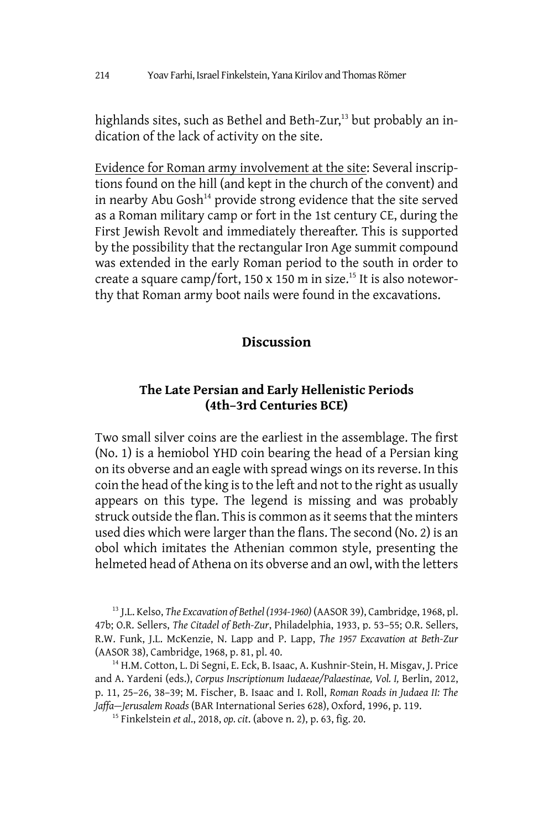highlands sites, such as Bethel and Beth-Zur,<sup>13</sup> but probably an indication of the lack of activity on the site.

Evidence for Roman army involvement at the site: Several inscriptions found on the hill (and kept in the church of the convent) and in nearby Abu Gosh<sup>14</sup> provide strong evidence that the site served as a Roman military camp or fort in the 1st century CE, during the First Jewish Revolt and immediately thereafter. This is supported by the possibility that the rectangular Iron Age summit compound was extended in the early Roman period to the south in order to create a square camp/fort, 150 x 150 m in size.<sup>15</sup> It is also noteworthy that Roman army boot nails were found in the excavations.

#### **Discussion**

## **The Late Persian and Early Hellenistic Periods (4th–3rd Centuries BCE)**

Two small silver coins are the earliest in the assemblage. The first (No. 1) is a hemiobol YHD coin bearing the head of a Persian king on its obverse and an eagle with spread wings on its reverse. In this coin the head of the king is to the left and not to the right as usually appears on this type. The legend is missing and was probably struck outside the flan. This is common as it seems that the minters used dies which were larger than the flans. The second (No. 2) is an obol which imitates the Athenian common style, presenting the helmeted head of Athena on its obverse and an owl, with the letters

<sup>13</sup> J.L. Kelso, *The Excavation of Bethel (1934-1960)* (AASOR 39), Cambridge, 1968, pl. 47b; O.R. Sellers, *The Citadel of Beth-Zur*, Philadelphia, 1933, p. 53–55; O.R. Sellers, R.W. Funk, J.L. McKenzie, N. Lapp and P. Lapp, *The 1957 Excavation at Beth-Zur* (AASOR 38), Cambridge, 1968, p. 81, pl. 40.

<sup>14</sup> H.M. Cotton, L. Di Segni, E. Eck, B. Isaac, A. Kushnir-Stein, H. Misgav, J. Price and A. Yardeni (eds.), *Corpus Inscriptionum Iudaeae/Palaestinae, Vol. I,* Berlin, 2012, p. 11, 25–26, 38–39; M. Fischer, B. Isaac and I. Roll, *Roman Roads in Judaea II: The Jaffa—Jerusalem Roads* (BAR International Series 628), Oxford, 1996, p. 119.

15 Finkelstein *et al*., 2018, *op. cit*. (above n. 2), p. 63, fig. 20.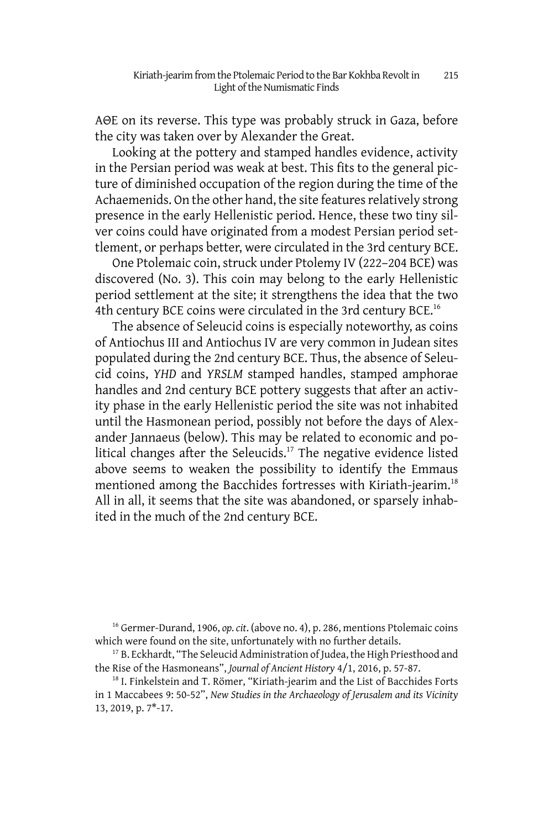AΘΕ on its reverse. This type was probably struck in Gaza, before the city was taken over by Alexander the Great.

Looking at the pottery and stamped handles evidence, activity in the Persian period was weak at best. This fits to the general picture of diminished occupation of the region during the time of the Achaemenids. On the other hand, the site features relatively strong presence in the early Hellenistic period. Hence, these two tiny silver coins could have originated from a modest Persian period settlement, or perhaps better, were circulated in the 3rd century BCE.

One Ptolemaic coin, struck under Ptolemy IV (222–204 BCE) was discovered (No. 3). This coin may belong to the early Hellenistic period settlement at the site; it strengthens the idea that the two 4th century BCE coins were circulated in the 3rd century BCE.<sup>16</sup>

The absence of Seleucid coins is especially noteworthy, as coins of Antiochus III and Antiochus IV are very common in Judean sites populated during the 2nd century BCE. Thus, the absence of Seleucid coins, *YHD* and *YRSLM* stamped handles, stamped amphorae handles and 2nd century BCE pottery suggests that after an activity phase in the early Hellenistic period the site was not inhabited until the Hasmonean period, possibly not before the days of Alexander Jannaeus (below). This may be related to economic and political changes after the Seleucids.<sup>17</sup> The negative evidence listed above seems to weaken the possibility to identify the Emmaus mentioned among the Bacchides fortresses with Kiriath-jearim.<sup>18</sup> All in all, it seems that the site was abandoned, or sparsely inhabited in the much of the 2nd century BCE.

<sup>16</sup> Germer-Durand, 1906, *op. cit*. (above no. 4), p. 286, mentions Ptolemaic coins which were found on the site, unfortunately with no further details.

<sup>&</sup>lt;sup>17</sup> B. Eckhardt, "The Seleucid Administration of Judea, the High Priesthood and the Rise of the Hasmoneans", *Journal of Ancient History* 4/1, 2016, p. 57-87.

<sup>&</sup>lt;sup>18</sup> I. Finkelstein and T. Römer, "Kiriath-jearim and the List of Bacchides Forts in 1 Maccabees 9: 50-52", *New Studies in the Archaeology of Jerusalem and its Vicinity* 13, 2019, p. 7\*-17.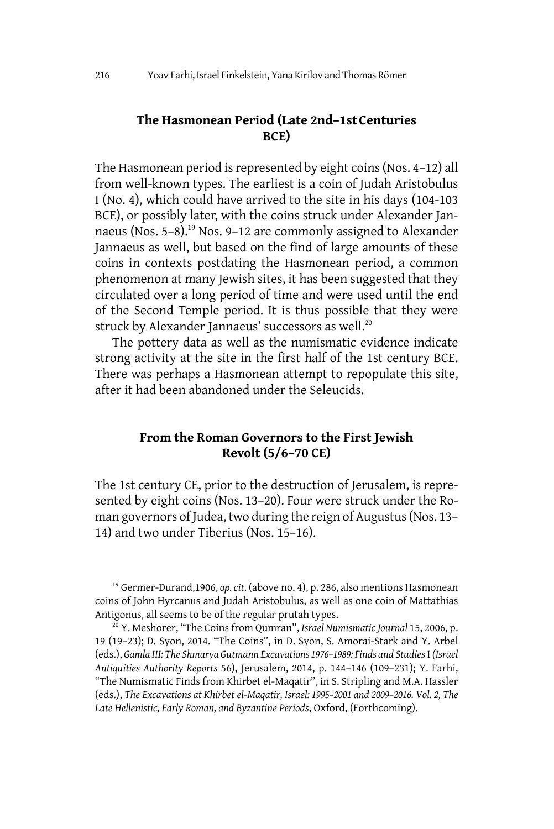#### **The Hasmonean Period (Late 2nd–1stCenturies BCE)**

The Hasmonean period is represented by eight coins (Nos. 4–12) all from well-known types. The earliest is a coin of Judah Aristobulus I (No. 4), which could have arrived to the site in his days (104-103 BCE), or possibly later, with the coins struck under Alexander Jannaeus (Nos. 5–8).<sup>19</sup> Nos. 9–12 are commonly assigned to Alexander Jannaeus as well, but based on the find of large amounts of these coins in contexts postdating the Hasmonean period, a common phenomenon at many Jewish sites, it has been suggested that they circulated over a long period of time and were used until the end of the Second Temple period. It is thus possible that they were struck by Alexander Jannaeus' successors as well.<sup>20</sup>

The pottery data as well as the numismatic evidence indicate strong activity at the site in the first half of the 1st century BCE. There was perhaps a Hasmonean attempt to repopulate this site, after it had been abandoned under the Seleucids.

#### **From the Roman Governors to the First Jewish Revolt (5/6–70 CE)**

The 1st century CE, prior to the destruction of Jerusalem, is represented by eight coins (Nos. 13–20). Four were struck under the Roman governors of Judea, two during the reign of Augustus (Nos. 13– 14) and two under Tiberius (Nos. 15–16).

<sup>19</sup> Germer-Durand,1906, *op. cit*. (above no. 4), p. 286, also mentions Hasmonean coins of John Hyrcanus and Judah Aristobulus, as well as one coin of Mattathias Antigonus, all seems to be of the regular prutah types.

<sup>20</sup> Y. Meshorer, "The Coins from Qumran", *Israel Numismatic Journal* 15, 2006, p. 19 (19–23); D. Syon, 2014. "The Coins", in D. Syon, S. Amorai-Stark and Y. Arbel (eds.), *Gamla III: The Shmarya Gutmann Excavations 1976–1989: Finds and Studies* I *(Israel Antiquities Authority Reports* 56), Jerusalem, 2014, p. 144–146 (109–231); Y. Farhi, "The Numismatic Finds from Khirbet el-Maqatir", in S. Stripling and M.A. Hassler (eds.), *The Excavations at Khirbet el-Maqatir, Israel: 1995–2001 and 2009–2016. Vol. 2, The Late Hellenistic, Early Roman, and Byzantine Periods*, Oxford, (Forthcoming).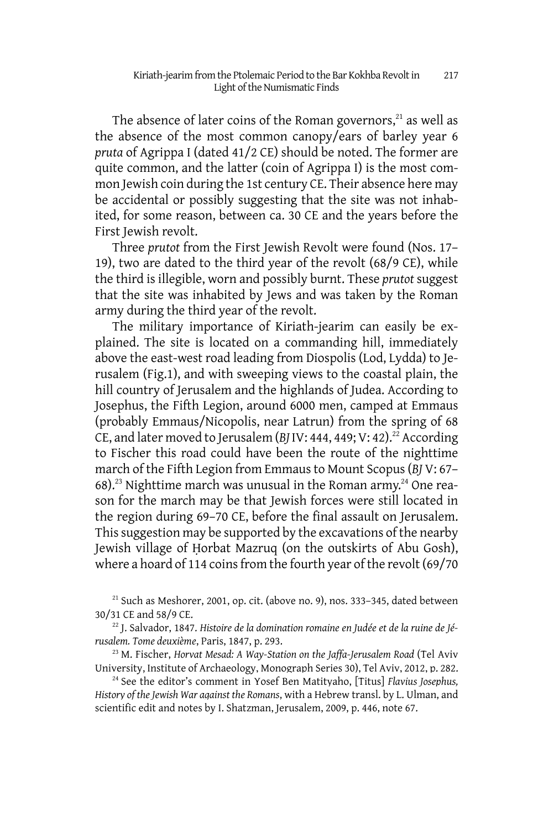The absence of later coins of the Roman governors, $21$  as well as the absence of the most common canopy/ears of barley year 6 *pruta* of Agrippa I (dated 41/2 CE) should be noted. The former are quite common, and the latter (coin of Agrippa I) is the most common Jewish coin during the 1st century CE. Their absence here may be accidental or possibly suggesting that the site was not inhabited, for some reason, between ca. 30 CE and the years before the First Jewish revolt.

Three *prutot* from the First Jewish Revolt were found (Nos. 17– 19), two are dated to the third year of the revolt (68/9 CE), while the third is illegible, worn and possibly burnt. These *prutot* suggest that the site was inhabited by Jews and was taken by the Roman army during the third year of the revolt.

The military importance of Kiriath-jearim can easily be explained. The site is located on a commanding hill, immediately above the east-west road leading from Diospolis (Lod, Lydda) to Jerusalem (Fig.1), and with sweeping views to the coastal plain, the hill country of Jerusalem and the highlands of Judea. According to Josephus, the Fifth Legion, around 6000 men, camped at Emmaus (probably Emmaus/Nicopolis, near Latrun) from the spring of 68 CE, and later moved to Jerusalem (*BJ* IV: 444, 449; V: 42).<sup>22</sup> According to Fischer this road could have been the route of the nighttime march of the Fifth Legion from Emmaus to Mount Scopus (*BJ* V: 67– 68).<sup>23</sup> Nighttime march was unusual in the Roman army.<sup>24</sup> One reason for the march may be that Jewish forces were still located in the region during 69–70 CE, before the final assault on Jerusalem. This suggestion may be supported by the excavations of the nearby Jewish village of Ḥorbat Mazruq (on the outskirts of Abu Gosh), where a hoard of 114 coins from the fourth year of the revolt (69/70

 $21$  Such as Meshorer, 2001, op. cit. (above no. 9), nos. 333–345, dated between 30/31 CE and 58/9 CE.

<sup>22</sup> J. Salvador, 1847. Histoire de la domination romaine en Judée et de la ruine de Jé*rusalem. Tome deuxième*, Paris, 1847, p. 293.

<sup>23</sup> M. Fischer, *Horvat Mesad: A Way-Station on the Jaffa-Jerusalem Road* (Tel Aviv University, Institute of Archaeology, Monograph Series 30), Tel Aviv, 2012, p. 282.

<sup>24</sup> See the editor's comment in Yosef Ben Matityaho, [Titus] *Flavius Josephus, History of the Jewish War against the Romans*, with a Hebrew transl. by L. Ulman, and scientific edit and notes by I. Shatzman, Jerusalem, 2009, p. 446, note 67.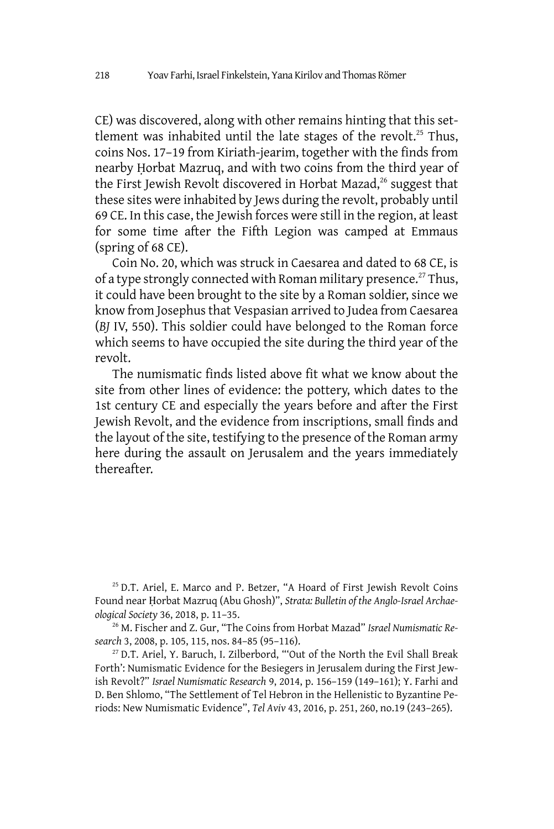CE) was discovered, along with other remains hinting that this settlement was inhabited until the late stages of the revolt.<sup>25</sup> Thus, coins Nos. 17–19 from Kiriath-jearim, together with the finds from nearby Ḥorbat Mazruq, and with two coins from the third year of the First Jewish Revolt discovered in Horbat Mazad,<sup>26</sup> suggest that these sites were inhabited by Jews during the revolt, probably until 69 CE. In this case, the Jewish forces were still in the region, at least for some time after the Fifth Legion was camped at Emmaus (spring of 68 CE).

Coin No. 20, which was struck in Caesarea and dated to 68 CE, is of a type strongly connected with Roman military presence.<sup>27</sup> Thus, it could have been brought to the site by a Roman soldier, since we know from Josephus that Vespasian arrived to Judea from Caesarea (*BJ* IV, 550). This soldier could have belonged to the Roman force which seems to have occupied the site during the third year of the revolt.

The numismatic finds listed above fit what we know about the site from other lines of evidence: the pottery, which dates to the 1st century CE and especially the years before and after the First Jewish Revolt, and the evidence from inscriptions, small finds and the layout of the site, testifying to the presence of the Roman army here during the assault on Jerusalem and the years immediately thereafter.

<sup>25</sup> D.T. Ariel, E. Marco and P. Betzer, "A Hoard of First Jewish Revolt Coins Found near Ḥorbat Mazruq (Abu Ghosh)", *Strata: Bulletin of the Anglo-Israel Archaeological Society* 36, 2018, p. 11–35.

26 M. Fischer and Z. Gur, "The Coins from Horbat Mazad" *Israel Numismatic Research* 3, 2008, p. 105, 115, nos. 84–85 (95–116).

<sup>27</sup> D.T. Ariel, Y. Baruch, I. Zilberbord, "'Out of the North the Evil Shall Break Forth': Numismatic Evidence for the Besiegers in Jerusalem during the First Jewish Revolt?" *Israel Numismatic Research* 9, 2014, p. 156–159 (149–161); Y. Farhi and D. Ben Shlomo, "The Settlement of Tel Hebron in the Hellenistic to Byzantine Periods: New Numismatic Evidence", *Tel Aviv* 43, 2016, p. 251, 260, no.19 (243–265).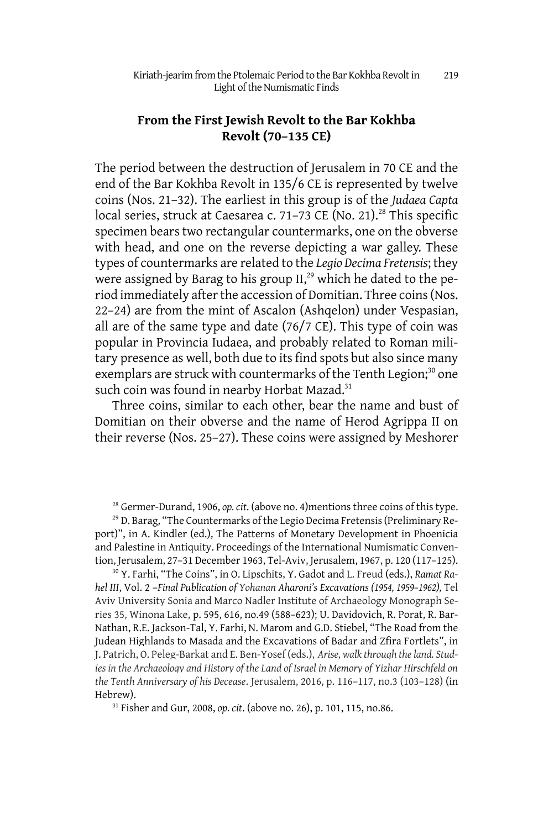### **From the First Jewish Revolt to the Bar Kokhba Revolt (70–135 CE)**

The period between the destruction of Jerusalem in 70 CE and the end of the Bar Kokhba Revolt in 135/6 CE is represented by twelve coins (Nos. 21–32). The earliest in this group is of the *Judaea Capta* local series, struck at Caesarea c. 71-73 CE (No. 21).<sup>28</sup> This specific specimen bears two rectangular countermarks, one on the obverse with head, and one on the reverse depicting a war galley. These types of countermarks are related to the *Legio Decima Fretensis*; they were assigned by Barag to his group II,<sup>29</sup> which he dated to the period immediately after the accession of Domitian. Three coins (Nos. 22–24) are from the mint of Ascalon (Ashqelon) under Vespasian, all are of the same type and date (76/7 CE). This type of coin was popular in Provincia Iudaea, and probably related to Roman military presence as well, both due to its find spots but also since many exemplars are struck with countermarks of the Tenth Legion;<sup>30</sup> one such coin was found in nearby Horbat Mazad. $31$ 

Three coins, similar to each other, bear the name and bust of Domitian on their obverse and the name of Herod Agrippa II on their reverse (Nos. 25–27). These coins were assigned by Meshorer

<sup>28</sup> Germer-Durand, 1906, *op. cit*. (above no. 4)mentions three coins of this type.

<sup>29</sup> D. Barag, "The Countermarks of the Legio Decima Fretensis (Preliminary Report)", in A. Kindler (ed.), The Patterns of Monetary Development in Phoenicia and Palestine in Antiquity. Proceedings of the International Numismatic Convention, Jerusalem, 27–31 December 1963, Tel-Aviv, Jerusalem, 1967, p. 120 (117–125).

30 Y. Farhi, "The Coins", in O. Lipschits, Y. Gadot and L. Freud (eds.), *Ramat Rahel III*, Vol. 2 –*Final Publication of Yohanan Aharoni's Excavations (1954, 1959–1962),* Tel Aviv University Sonia and Marco Nadler Institute of Archaeology Monograph Series 35, Winona Lake, p. 595, 616, no.49 (588–623); U. Davidovich, R. Porat, R. Bar-Nathan, R.E. Jackson-Tal, Y. Farhi, N. Marom and G.D. Stiebel, "The Road from the Judean Highlands to Masada and the Excavations of Badar and Zfira Fortlets", in J. Patrich, O. Peleg-Barkat and E. Ben-Yosef (eds.), *Arise, walk through the land. Studies in the Archaeology and History of the Land of Israel in Memory of Yizhar Hirschfeld on the Tenth Anniversary of his Decease*. Jerusalem, 2016, p. 116–117, no.3 (103–128) (in Hebrew).

31 Fisher and Gur, 2008, *op. cit*. (above no. 26), p. 101, 115, no.86.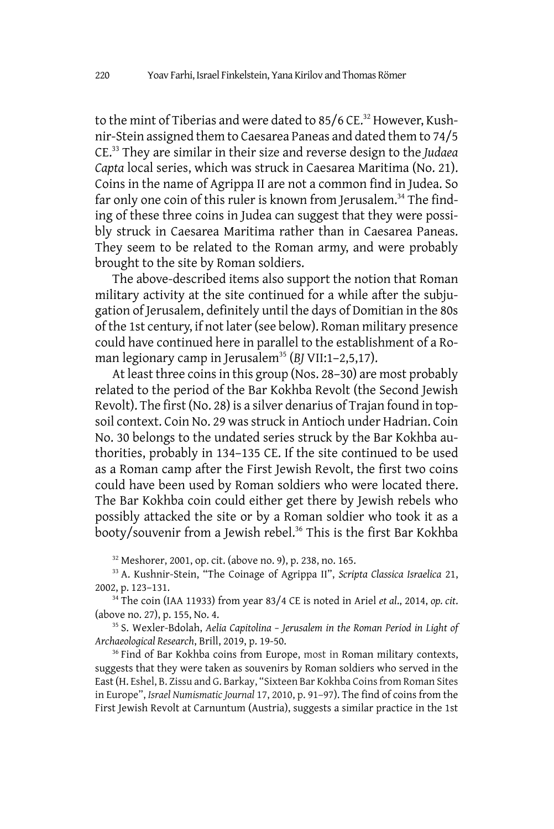to the mint of Tiberias and were dated to 85/6 CE.<sup>32</sup> However, Kushnir-Stein assigned them to Caesarea Paneas and dated them to 74/5 CE.<sup>33</sup> They are similar in their size and reverse design to the *Judaea Capta* local series, which was struck in Caesarea Maritima (No. 21). Coins in the name of Agrippa II are not a common find in Judea. So far only one coin of this ruler is known from Jerusalem.<sup>34</sup> The finding of these three coins in Judea can suggest that they were possibly struck in Caesarea Maritima rather than in Caesarea Paneas. They seem to be related to the Roman army, and were probably brought to the site by Roman soldiers.

The above-described items also support the notion that Roman military activity at the site continued for a while after the subjugation of Jerusalem, definitely until the days of Domitian in the 80s of the 1st century, if not later (see below). Roman military presence could have continued here in parallel to the establishment of a Roman legionary camp in Jerusalem<sup>35</sup> (BJ VII:1-2,5,17).

At least three coins in this group (Nos. 28–30) are most probably related to the period of the Bar Kokhba Revolt (the Second Jewish Revolt). The first (No. 28) is a silver denarius of Trajan found in topsoil context. Coin No. 29 was struck in Antioch under Hadrian. Coin No. 30 belongs to the undated series struck by the Bar Kokhba authorities, probably in 134–135 CE. If the site continued to be used as a Roman camp after the First Jewish Revolt, the first two coins could have been used by Roman soldiers who were located there. The Bar Kokhba coin could either get there by Jewish rebels who possibly attacked the site or by a Roman soldier who took it as a booty/souvenir from a Jewish rebel.<sup>36</sup> This is the first Bar Kokhba

<sup>32</sup> Meshorer, 2001, op. cit. (above no. 9), p. 238, no. 165.

<sup>33</sup> A. Kushnir-Stein, "The Coinage of Agrippa II", *Scripta Classica Israelica* 21, 2002, p. 123–131.

<sup>34</sup> The coin (IAA 11933) from year 83/4 CE is noted in Ariel *et al*., 2014, *op. cit*. (above no. 27), p. 155, No. 4.

<sup>35</sup> S. Wexler-Bdolah, *Aelia Capitolina – Jerusalem in the Roman Period in Light of Archaeological Research*, Brill, 2019, p. 19-50.

<sup>36</sup> Find of Bar Kokhba coins from Europe, most in Roman military contexts, suggests that they were taken as souvenirs by Roman soldiers who served in the East (H. Eshel, B. Zissu and G. Barkay, "Sixteen Bar Kokhba Coins from Roman Sites in Europe", *Israel Numismatic Journal* 17, 2010, p. 91–97). The find of coins from the First Jewish Revolt at Carnuntum (Austria), suggests a similar practice in the 1st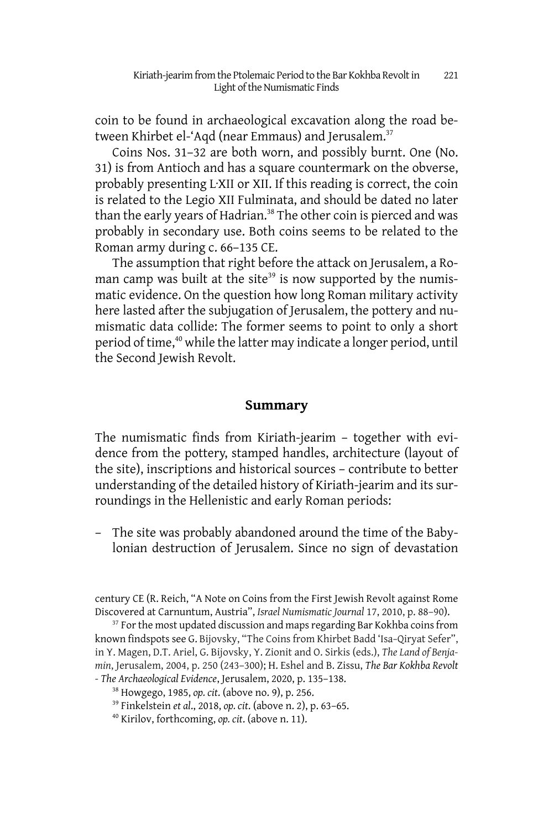coin to be found in archaeological excavation along the road between Khirbet el-'Aqd (near Emmaus) and Jerusalem.<sup>37</sup>

Coins Nos. 31–32 are both worn, and possibly burnt. One (No. 31) is from Antioch and has a square countermark on the obverse, probably presenting L·XII or XII. If this reading is correct, the coin is related to the Legio XII Fulminata, and should be dated no later than the early years of Hadrian.<sup>38</sup> The other coin is pierced and was probably in secondary use. Both coins seems to be related to the Roman army during c. 66–135 CE.

The assumption that right before the attack on Jerusalem, a Roman camp was built at the site<sup>39</sup> is now supported by the numismatic evidence. On the question how long Roman military activity here lasted after the subjugation of Jerusalem, the pottery and numismatic data collide: The former seems to point to only a short period of time,<sup>40</sup> while the latter may indicate a longer period, until the Second Jewish Revolt.

#### **Summary**

The numismatic finds from Kiriath-jearim – together with evidence from the pottery, stamped handles, architecture (layout of the site), inscriptions and historical sources – contribute to better understanding of the detailed history of Kiriath-jearim and its surroundings in the Hellenistic and early Roman periods:

– The site was probably abandoned around the time of the Babylonian destruction of Jerusalem. Since no sign of devastation

century CE (R. Reich, "A Note on Coins from the First Jewish Revolt against Rome Discovered at Carnuntum, Austria", *Israel Numismatic Journal* 17, 2010, p. 88–90).

<sup>37</sup> For the most updated discussion and maps regarding Bar Kokhba coins from known findspots see G. Bijovsky, "The Coins from Khirbet Badd 'Isa*–*Qiryat Sefer", in Y. Magen, D.T. Ariel, G. Bijovsky, Y. Zionit and O. Sirkis (eds.), *The Land of Benjamin*, Jerusalem, 2004, p. 250 (243–300); H. Eshel and B. Zissu, *The Bar Kokhba Revolt - The Archaeological Evidence*, Jerusalem, 2020, p. 135–138.

<sup>38</sup> Howgego, 1985, *op. cit*. (above no. 9), p. 256.

- <sup>39</sup> Finkelstein *et al*., 2018, *op. cit*. (above n. 2), p. 63–65.
- 40 Kirilov, forthcoming, *op. cit*. (above n. 11).